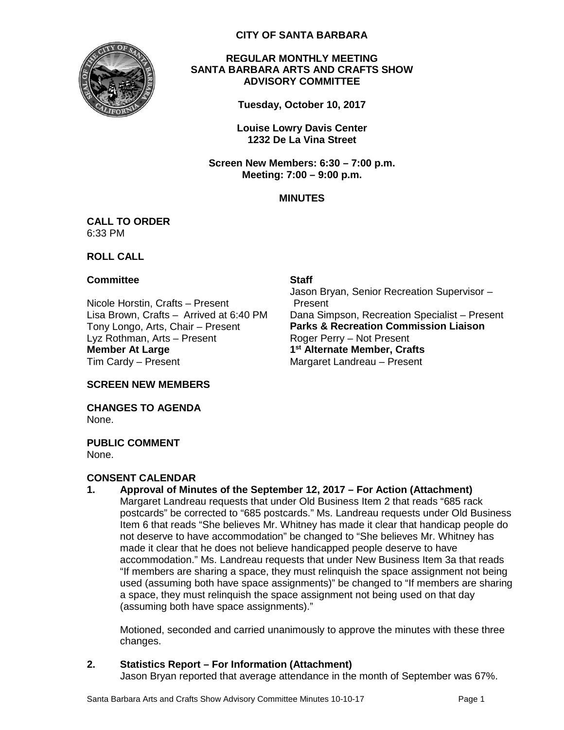

## **CITY OF SANTA BARBARA**

## **REGULAR MONTHLY MEETING SANTA BARBARA ARTS AND CRAFTS SHOW ADVISORY COMMITTEE**

**Tuesday, October 10, 2017**

**Louise Lowry Davis Center 1232 De La Vina Street**

**Screen New Members: 6:30 – 7:00 p.m. Meeting: 7:00 – 9:00 p.m.**

# **MINUTES**

#### **CALL TO ORDER** 6:33 PM

## **ROLL CALL**

## **Committee Staff**

Nicole Horstin, Crafts – Present Lyz Rothman, Arts – Present Roger Perry – Not Present **Member At Large** Tim Cardy – Present

Jason Bryan, Senior Recreation Supervisor – Present Lisa Brown, Crafts – Arrived at 6:40 PM Dana Simpson, Recreation Specialist – Present<br>Tony Longo, Arts, Chair – Present **Parks & Recreation Commission Liaison Parks & Recreation Commission Liaison 1st Alternate Member, Crafts** Margaret Landreau – Present

**SCREEN NEW MEMBERS**

**CHANGES TO AGENDA** None.

**PUBLIC COMMENT** None.

# **CONSENT CALENDAR**

**1. Approval of Minutes of the September 12, 2017 – For Action (Attachment)** Margaret Landreau requests that under Old Business Item 2 that reads "685 rack postcards" be corrected to "685 postcards." Ms. Landreau requests under Old Business Item 6 that reads "She believes Mr. Whitney has made it clear that handicap people do not deserve to have accommodation" be changed to "She believes Mr. Whitney has made it clear that he does not believe handicapped people deserve to have accommodation." Ms. Landreau requests that under New Business Item 3a that reads "If members are sharing a space, they must relinquish the space assignment not being used (assuming both have space assignments)" be changed to "If members are sharing a space, they must relinquish the space assignment not being used on that day (assuming both have space assignments)."

Motioned, seconded and carried unanimously to approve the minutes with these three changes.

**2. Statistics Report – For Information (Attachment)**

Jason Bryan reported that average attendance in the month of September was 67%.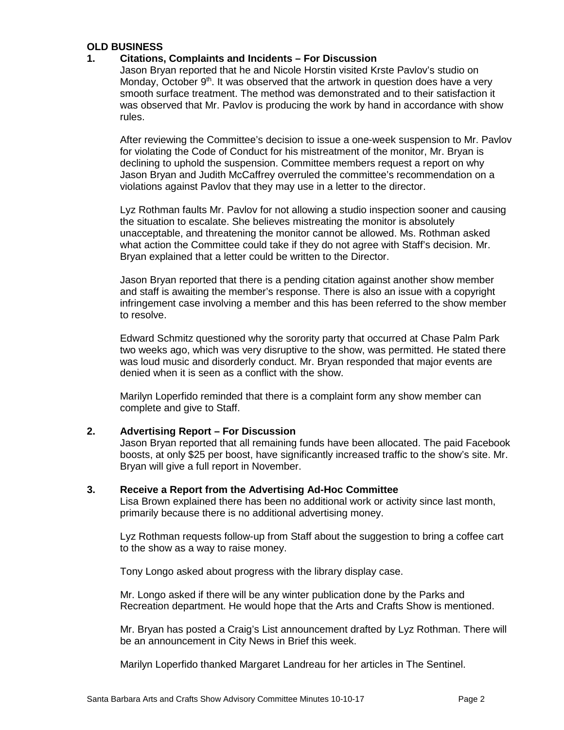# **OLD BUSINESS**

#### **1. Citations, Complaints and Incidents – For Discussion**

Jason Bryan reported that he and Nicole Horstin visited Krste Pavlov's studio on Monday, October  $9<sup>th</sup>$ . It was observed that the artwork in question does have a very smooth surface treatment. The method was demonstrated and to their satisfaction it was observed that Mr. Pavlov is producing the work by hand in accordance with show rules.

After reviewing the Committee's decision to issue a one-week suspension to Mr. Pavlov for violating the Code of Conduct for his mistreatment of the monitor, Mr. Bryan is declining to uphold the suspension. Committee members request a report on why Jason Bryan and Judith McCaffrey overruled the committee's recommendation on a violations against Pavlov that they may use in a letter to the director.

Lyz Rothman faults Mr. Pavlov for not allowing a studio inspection sooner and causing the situation to escalate. She believes mistreating the monitor is absolutely unacceptable, and threatening the monitor cannot be allowed. Ms. Rothman asked what action the Committee could take if they do not agree with Staff's decision. Mr. Bryan explained that a letter could be written to the Director.

Jason Bryan reported that there is a pending citation against another show member and staff is awaiting the member's response. There is also an issue with a copyright infringement case involving a member and this has been referred to the show member to resolve.

Edward Schmitz questioned why the sorority party that occurred at Chase Palm Park two weeks ago, which was very disruptive to the show, was permitted. He stated there was loud music and disorderly conduct. Mr. Bryan responded that major events are denied when it is seen as a conflict with the show.

Marilyn Loperfido reminded that there is a complaint form any show member can complete and give to Staff.

# **2. Advertising Report – For Discussion**

Jason Bryan reported that all remaining funds have been allocated. The paid Facebook boosts, at only \$25 per boost, have significantly increased traffic to the show's site. Mr. Bryan will give a full report in November.

#### **3. Receive a Report from the Advertising Ad-Hoc Committee**

Lisa Brown explained there has been no additional work or activity since last month, primarily because there is no additional advertising money.

Lyz Rothman requests follow-up from Staff about the suggestion to bring a coffee cart to the show as a way to raise money.

Tony Longo asked about progress with the library display case.

Mr. Longo asked if there will be any winter publication done by the Parks and Recreation department. He would hope that the Arts and Crafts Show is mentioned.

Mr. Bryan has posted a Craig's List announcement drafted by Lyz Rothman. There will be an announcement in City News in Brief this week.

Marilyn Loperfido thanked Margaret Landreau for her articles in The Sentinel.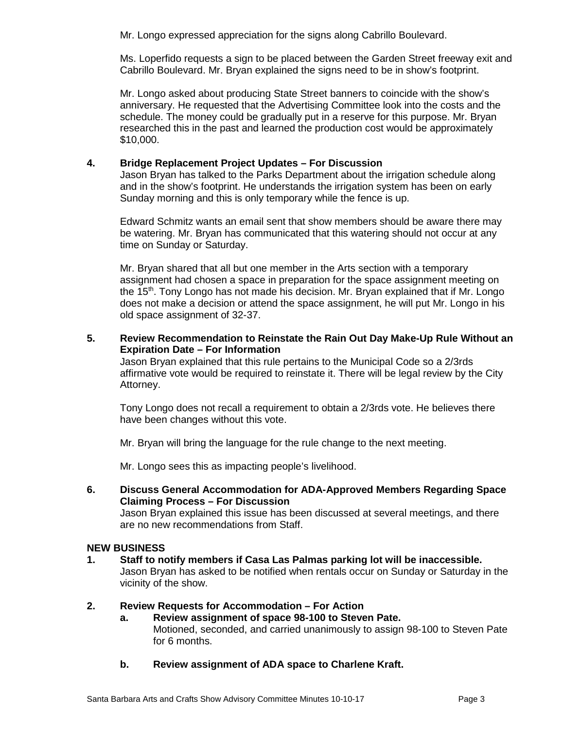Mr. Longo expressed appreciation for the signs along Cabrillo Boulevard.

Ms. Loperfido requests a sign to be placed between the Garden Street freeway exit and Cabrillo Boulevard. Mr. Bryan explained the signs need to be in show's footprint.

Mr. Longo asked about producing State Street banners to coincide with the show's anniversary. He requested that the Advertising Committee look into the costs and the schedule. The money could be gradually put in a reserve for this purpose. Mr. Bryan researched this in the past and learned the production cost would be approximately \$10,000.

# **4. Bridge Replacement Project Updates – For Discussion**

Jason Bryan has talked to the Parks Department about the irrigation schedule along and in the show's footprint. He understands the irrigation system has been on early Sunday morning and this is only temporary while the fence is up.

Edward Schmitz wants an email sent that show members should be aware there may be watering. Mr. Bryan has communicated that this watering should not occur at any time on Sunday or Saturday.

Mr. Bryan shared that all but one member in the Arts section with a temporary assignment had chosen a space in preparation for the space assignment meeting on the 15th. Tony Longo has not made his decision. Mr. Bryan explained that if Mr. Longo does not make a decision or attend the space assignment, he will put Mr. Longo in his old space assignment of 32-37.

# **5. Review Recommendation to Reinstate the Rain Out Day Make-Up Rule Without an Expiration Date – For Information**

Jason Bryan explained that this rule pertains to the Municipal Code so a 2/3rds affirmative vote would be required to reinstate it. There will be legal review by the City Attorney.

Tony Longo does not recall a requirement to obtain a 2/3rds vote. He believes there have been changes without this vote.

Mr. Bryan will bring the language for the rule change to the next meeting.

Mr. Longo sees this as impacting people's livelihood.

**6. Discuss General Accommodation for ADA-Approved Members Regarding Space Claiming Process – For Discussion** 

Jason Bryan explained this issue has been discussed at several meetings, and there are no new recommendations from Staff.

# **NEW BUSINESS**

**1. Staff to notify members if Casa Las Palmas parking lot will be inaccessible.** Jason Bryan has asked to be notified when rentals occur on Sunday or Saturday in the vicinity of the show.

# **2. Review Requests for Accommodation – For Action**

- **a. Review assignment of space 98-100 to Steven Pate.** Motioned, seconded, and carried unanimously to assign 98-100 to Steven Pate for 6 months.
- **b. Review assignment of ADA space to Charlene Kraft.**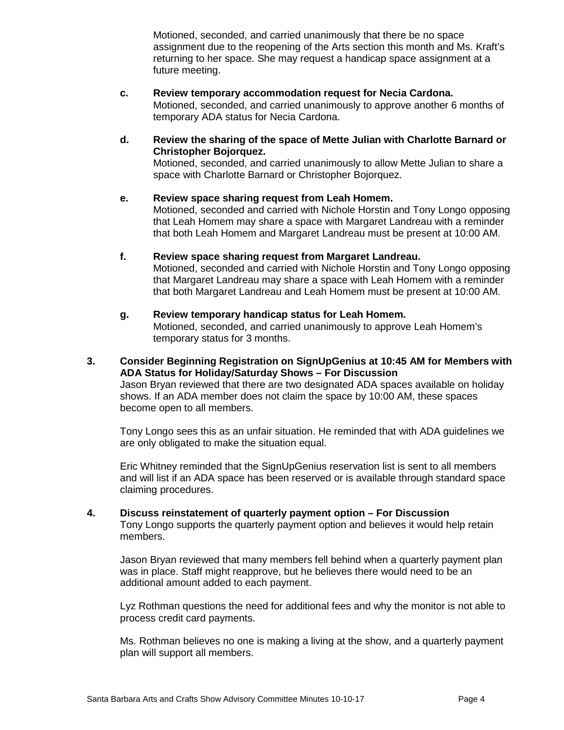Motioned, seconded, and carried unanimously that there be no space assignment due to the reopening of the Arts section this month and Ms. Kraft's returning to her space. She may request a handicap space assignment at a future meeting.

- **c. Review temporary accommodation request for Necia Cardona.** Motioned, seconded, and carried unanimously to approve another 6 months of temporary ADA status for Necia Cardona.
- **d. Review the sharing of the space of Mette Julian with Charlotte Barnard or Christopher Bojorquez.**

Motioned, seconded, and carried unanimously to allow Mette Julian to share a space with Charlotte Barnard or Christopher Bojorquez.

- **e. Review space sharing request from Leah Homem.**  Motioned, seconded and carried with Nichole Horstin and Tony Longo opposing that Leah Homem may share a space with Margaret Landreau with a reminder that both Leah Homem and Margaret Landreau must be present at 10:00 AM.
- **f. Review space sharing request from Margaret Landreau.** Motioned, seconded and carried with Nichole Horstin and Tony Longo opposing that Margaret Landreau may share a space with Leah Homem with a reminder that both Margaret Landreau and Leah Homem must be present at 10:00 AM.
- **g. Review temporary handicap status for Leah Homem.** Motioned, seconded, and carried unanimously to approve Leah Homem's temporary status for 3 months.
- **3. Consider Beginning Registration on SignUpGenius at 10:45 AM for Members with ADA Status for Holiday/Saturday Shows – For Discussion** Jason Bryan reviewed that there are two designated ADA spaces available on holiday shows. If an ADA member does not claim the space by 10:00 AM, these spaces become open to all members.

Tony Longo sees this as an unfair situation. He reminded that with ADA guidelines we are only obligated to make the situation equal.

Eric Whitney reminded that the SignUpGenius reservation list is sent to all members and will list if an ADA space has been reserved or is available through standard space claiming procedures.

**4. Discuss reinstatement of quarterly payment option – For Discussion** Tony Longo supports the quarterly payment option and believes it would help retain members.

Jason Bryan reviewed that many members fell behind when a quarterly payment plan was in place. Staff might reapprove, but he believes there would need to be an additional amount added to each payment.

Lyz Rothman questions the need for additional fees and why the monitor is not able to process credit card payments.

Ms. Rothman believes no one is making a living at the show, and a quarterly payment plan will support all members.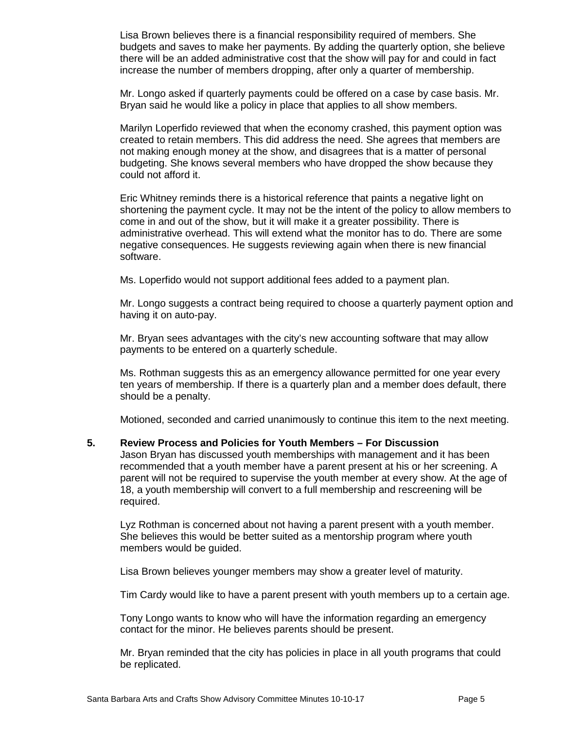Lisa Brown believes there is a financial responsibility required of members. She budgets and saves to make her payments. By adding the quarterly option, she believe there will be an added administrative cost that the show will pay for and could in fact increase the number of members dropping, after only a quarter of membership.

Mr. Longo asked if quarterly payments could be offered on a case by case basis. Mr. Bryan said he would like a policy in place that applies to all show members.

Marilyn Loperfido reviewed that when the economy crashed, this payment option was created to retain members. This did address the need. She agrees that members are not making enough money at the show, and disagrees that is a matter of personal budgeting. She knows several members who have dropped the show because they could not afford it.

Eric Whitney reminds there is a historical reference that paints a negative light on shortening the payment cycle. It may not be the intent of the policy to allow members to come in and out of the show, but it will make it a greater possibility. There is administrative overhead. This will extend what the monitor has to do. There are some negative consequences. He suggests reviewing again when there is new financial software.

Ms. Loperfido would not support additional fees added to a payment plan.

Mr. Longo suggests a contract being required to choose a quarterly payment option and having it on auto-pay.

Mr. Bryan sees advantages with the city's new accounting software that may allow payments to be entered on a quarterly schedule.

Ms. Rothman suggests this as an emergency allowance permitted for one year every ten years of membership. If there is a quarterly plan and a member does default, there should be a penalty.

Motioned, seconded and carried unanimously to continue this item to the next meeting.

## **5. Review Process and Policies for Youth Members – For Discussion**

Jason Bryan has discussed youth memberships with management and it has been recommended that a youth member have a parent present at his or her screening. A parent will not be required to supervise the youth member at every show. At the age of 18, a youth membership will convert to a full membership and rescreening will be required.

Lyz Rothman is concerned about not having a parent present with a youth member. She believes this would be better suited as a mentorship program where youth members would be guided.

Lisa Brown believes younger members may show a greater level of maturity.

Tim Cardy would like to have a parent present with youth members up to a certain age.

Tony Longo wants to know who will have the information regarding an emergency contact for the minor. He believes parents should be present.

Mr. Bryan reminded that the city has policies in place in all youth programs that could be replicated.